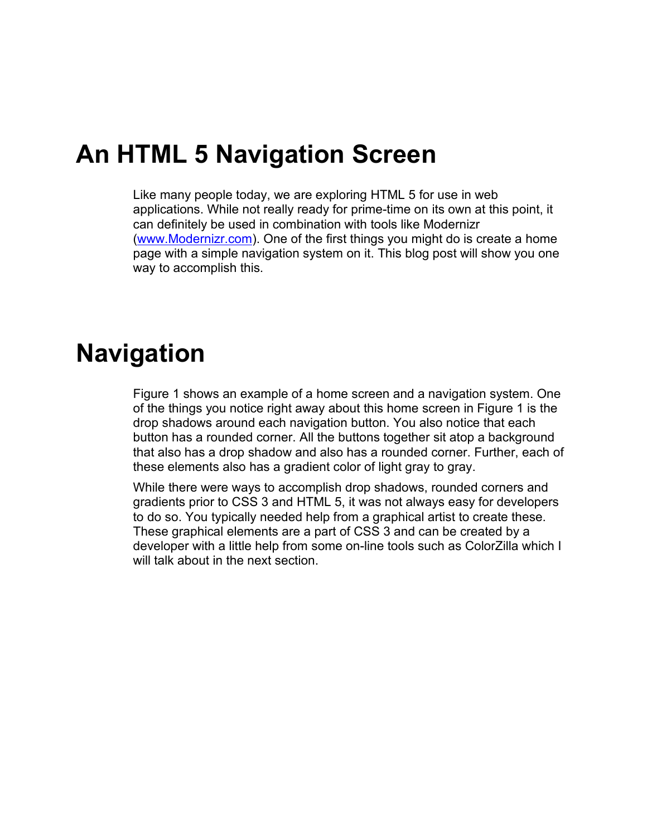## **An HTML 5 Navigation Screen**

Like many people today, we are exploring HTML 5 for use in web applications. While not really ready for prime-time on its own at this point, it can definitely be used in combination with tools like Modernizr [\(www.Modernizr.com\)](http://www.modernizr.com/). One of the first things you might do is create a home page with a simple navigation system on it. This blog post will show you one way to accomplish this.

## **Navigation**

[Figure 1](#page-1-0) shows an example of a home screen and a navigation system. One of the things you notice right away about this home screen in [Figure 1](#page-1-0) is the drop shadows around each navigation button. You also notice that each button has a rounded corner. All the buttons together sit atop a background that also has a drop shadow and also has a rounded corner. Further, each of these elements also has a gradient color of light gray to gray.

While there were ways to accomplish drop shadows, rounded corners and gradients prior to CSS 3 and HTML 5, it was not always easy for developers to do so. You typically needed help from a graphical artist to create these. These graphical elements are a part of CSS 3 and can be created by a developer with a little help from some on-line tools such as ColorZilla which I will talk about in the next section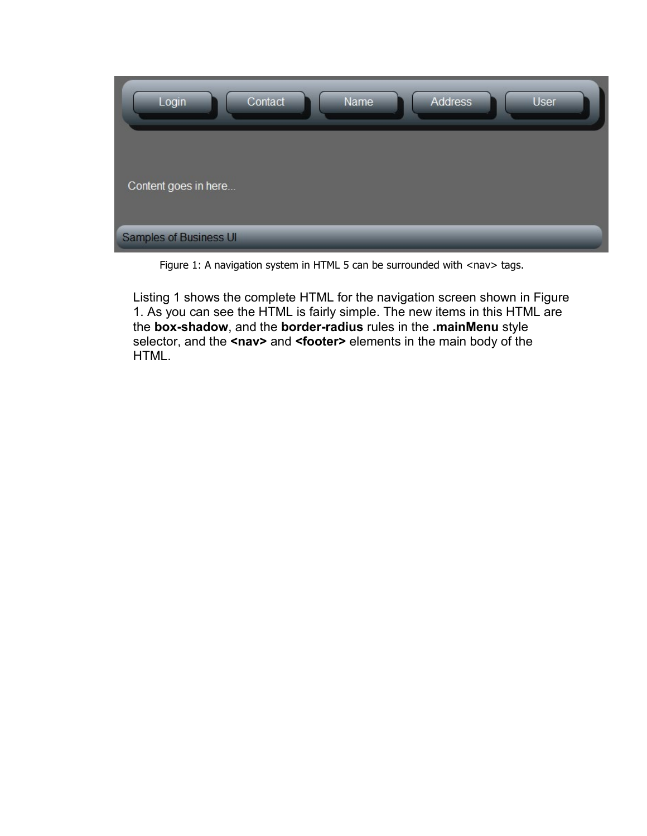

Figure 1: A navigation system in HTML 5 can be surrounded with <nav> tags.

<span id="page-1-0"></span>[Listing 1](#page-3-0) shows the complete HTML for the navigation screen shown in [Figure](#page-1-0)  [1.](#page-1-0) As you can see the HTML is fairly simple. The new items in this HTML are the **box-shadow**, and the **border-radius** rules in the **.mainMenu** style selector, and the **<nav>** and **<footer>** elements in the main body of the HTML.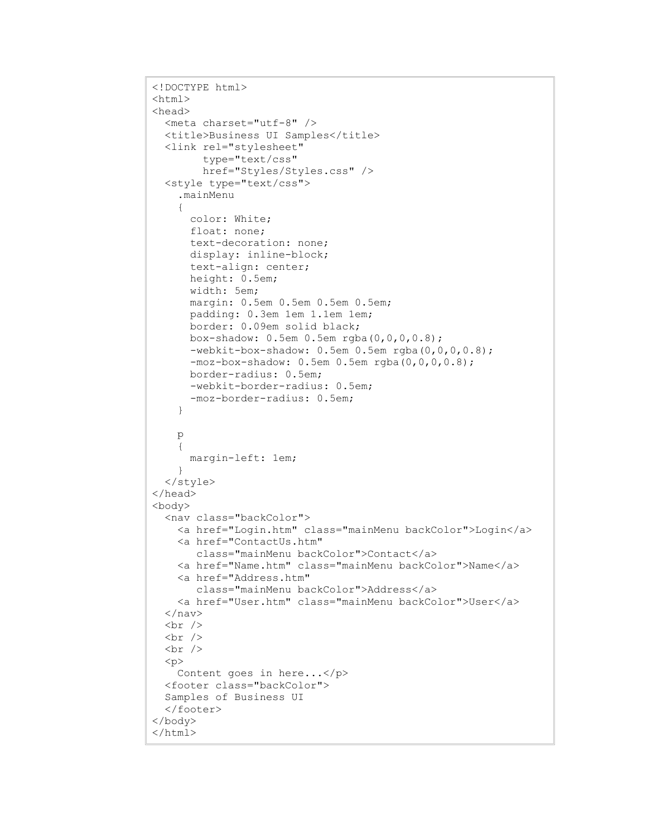```
<!DOCTYPE html>
<html><head>
   <meta charset="utf-8" />
   <title>Business UI Samples</title>
   <link rel="stylesheet" 
         type="text/css"
         href="Styles/Styles.css" />
   <style type="text/css">
     .mainMenu
\{ color: White;
       float: none;
       text-decoration: none;
       display: inline-block;
       text-align: center;
       height: 0.5em;
       width: 5em;
       margin: 0.5em 0.5em 0.5em 0.5em;
       padding: 0.3em 1em 1.1em 1em;
       border: 0.09em solid black;
       box-shadow: 0.5em 0.5em rgba(0,0,0,0.8);
       -webkit-box-shadow: 0.5em 0.5em rgba(0,0,0,0.8);
       -moz-box-shadow: 0.5em 0.5em rgba(0,0,0,0.8);
       border-radius: 0.5em;
       -webkit-border-radius: 0.5em;
       -moz-border-radius: 0.5em;
     }
     p
     {
       margin-left: 1em;
     }
   </style>
</head>
<body>
   <nav class="backColor">
     <a href="Login.htm" class="mainMenu backColor">Login</a>
     <a href="ContactUs.htm" 
        class="mainMenu backColor">Contact</a>
     <a href="Name.htm" class="mainMenu backColor">Name</a>
     <a href="Address.htm" 
        class="mainMenu backColor">Address</a>
     <a href="User.htm" class="mainMenu backColor">User</a>
 \langle/nav\rangle\text{br} />
  \text{br} />
  \text{br} />
  < p > Content goes in here...</p>
   <footer class="backColor">
  Samples of Business UI
   </footer>
</body>
</html>
```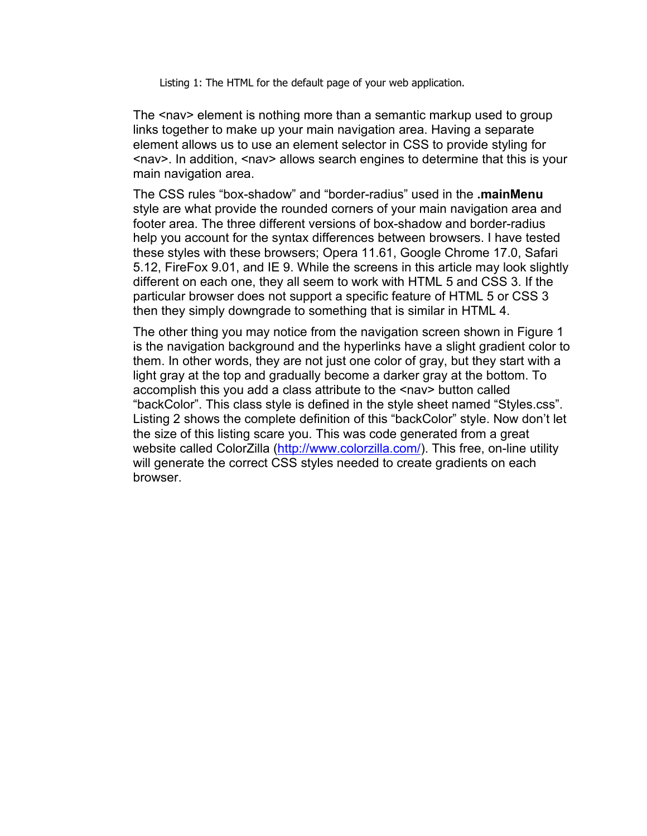Listing 1: The HTML for the default page of your web application.

<span id="page-3-0"></span>The <nav> element is nothing more than a semantic markup used to group links together to make up your main navigation area. Having a separate element allows us to use an element selector in CSS to provide styling for <nav>. In addition, <nav> allows search engines to determine that this is your main navigation area.

The CSS rules "box-shadow" and "border-radius" used in the **.mainMenu** style are what provide the rounded corners of your main navigation area and footer area. The three different versions of box-shadow and border-radius help you account for the syntax differences between browsers. I have tested these styles with these browsers; Opera 11.61, Google Chrome 17.0, Safari 5.12, FireFox 9.01, and IE 9. While the screens in this article may look slightly different on each one, they all seem to work with HTML 5 and CSS 3. If the particular browser does not support a specific feature of HTML 5 or CSS 3 then they simply downgrade to something that is similar in HTML 4.

The other thing you may notice from the navigation screen shown in [Figure 1](#page-1-0) is the navigation background and the hyperlinks have a slight gradient color to them. In other words, they are not just one color of gray, but they start with a light gray at the top and gradually become a darker gray at the bottom. To accomplish this you add a class attribute to the <nav> button called "backColor". This class style is defined in the style sheet named "Styles.css". [Listing 2](#page-4-0) shows the complete definition of this "backColor" style. Now don't let the size of this listing scare you. This was code generated from a great website called ColorZilla [\(http://www.colorzilla.com/\)](http://www.colorzilla.com/). This free, on-line utility will generate the correct CSS styles needed to create gradients on each browser.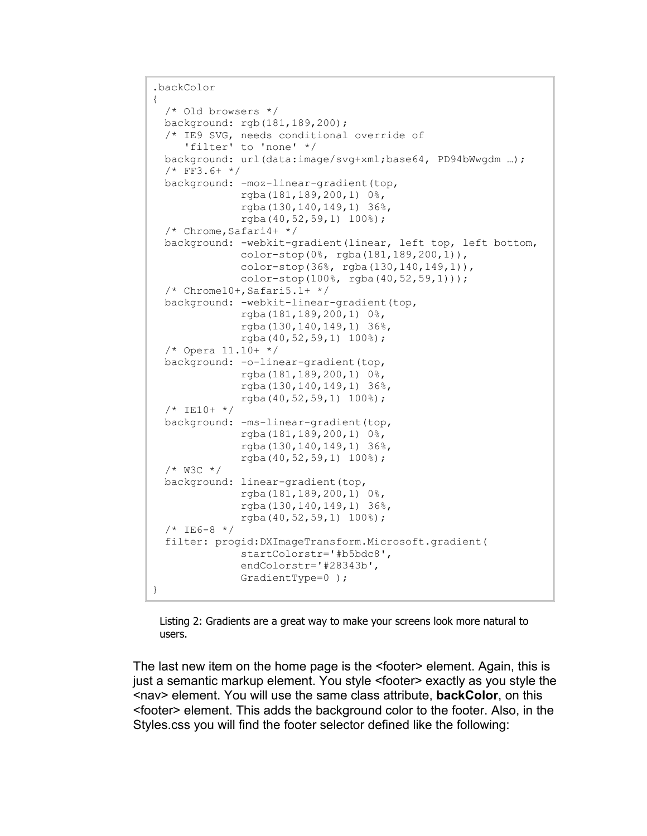```
.backColor
{
  /* Old browsers */
  background: rgb(181,189,200);
  /* IE9 SVG, needs conditional override of 
      'filter' to 'none' */
  background: url(data:image/svg+xml;base64, PD94bWwgdm …);
 /* FF3.6+ */ background: -moz-linear-gradient(top, 
               rgba(181,189,200,1) 0%,
               rgba(130,140,149,1) 36%,
               rgba(40,52,59,1) 100%);
 /* Chrome, Safari4+ */ background: -webkit-gradient(linear, left top, left bottom,
               color-stop(0%, rgba(181,189,200,1)), 
               color-stop(36%, rgba(130,140,149,1)), 
               color-stop(100%, rgba(40,52,59,1)));
 /* Chrome10+, Safari5.1+ */ background: -webkit-linear-gradient(top, 
               rgba(181,189,200,1) 0%, 
               rgba(130,140,149,1) 36%,
               rgba(40,52,59,1) 100%);
  /* Opera 11.10+ */ 
  background: -o-linear-gradient(top, 
               rgba(181,189,200,1) 0%,
               rgba(130,140,149,1) 36%,
               rgba(40,52,59,1) 100%);
 /* IE10+ */ background: -ms-linear-gradient(top, 
               rgba(181,189,200,1) 0%,
               rgba(130,140,149,1) 36%,
               rgba(40,52,59,1) 100%);
  /* W3C */
  background: linear-gradient(top, 
               rgba(181,189,200,1) 0%,
               rgba(130,140,149,1) 36%,
               rgba(40,52,59,1) 100%);
 /* IE6-8 */ filter: progid:DXImageTransform.Microsoft.gradient(
               startColorstr='#b5bdc8',
               endColorstr='#28343b',
               GradientType=0 );
}
```
Listing 2: Gradients are a great way to make your screens look more natural to users.

<span id="page-4-0"></span>The last new item on the home page is the <footer> element. Again, this is just a semantic markup element. You style <footer> exactly as you style the <nav> element. You will use the same class attribute, **backColor**, on this <footer> element. This adds the background color to the footer. Also, in the Styles.css you will find the footer selector defined like the following: